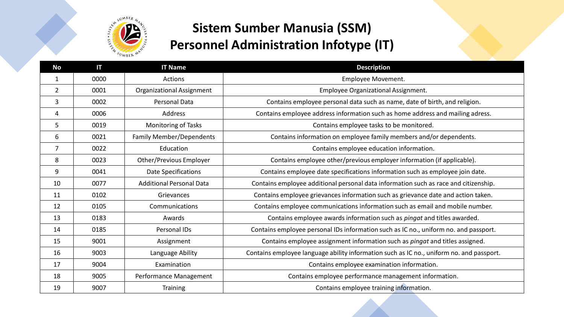

## **Sistem Sumber Manusia (SSM) Personnel Administration Infotype (IT)**

| <b>No</b> | Π    | <b>IT Name</b>                  | <b>Description</b>                                                                       |
|-----------|------|---------------------------------|------------------------------------------------------------------------------------------|
| 1         | 0000 | Actions                         | Employee Movement.                                                                       |
| 2         | 0001 | Organizational Assignment       | Employee Organizational Assignment.                                                      |
| 3         | 0002 | Personal Data                   | Contains employee personal data such as name, date of birth, and religion.               |
| 4         | 0006 | Address                         | Contains employee address information such as home address and mailing adress.           |
| 5         | 0019 | <b>Monitoring of Tasks</b>      | Contains employee tasks to be monitored.                                                 |
| 6         | 0021 | <b>Family Member/Dependents</b> | Contains information on employee family members and/or dependents.                       |
| 7         | 0022 | Education                       | Contains employee education information.                                                 |
| 8         | 0023 | Other/Previous Employer         | Contains employee other/previous employer information (if applicable).                   |
| 9         | 0041 | Date Specifications             | Contains employee date specifications information such as employee join date.            |
| 10        | 0077 | <b>Additional Personal Data</b> | Contains employee additional personal data information such as race and citizenship.     |
| 11        | 0102 | Grievances                      | Contains employee grievances information such as grievance date and action taken.        |
| 12        | 0105 | Communications                  | Contains employee communications information such as email and mobile number.            |
| 13        | 0183 | Awards                          | Contains employee awards information such as <i>pingat</i> and titles awarded.           |
| 14        | 0185 | Personal IDs                    | Contains employee personal IDs information such as IC no., uniform no. and passport.     |
| 15        | 9001 | Assignment                      | Contains employee assignment information such as <i>pingat</i> and titles assigned.      |
| 16        | 9003 | Language Ability                | Contains employee language ability information such as IC no., uniform no. and passport. |
| 17        | 9004 | Examination                     | Contains employee examination information.                                               |
| 18        | 9005 | Performance Management          | Contains employee performance management information.                                    |
| 19        | 9007 | Training                        | Contains employee training information.                                                  |